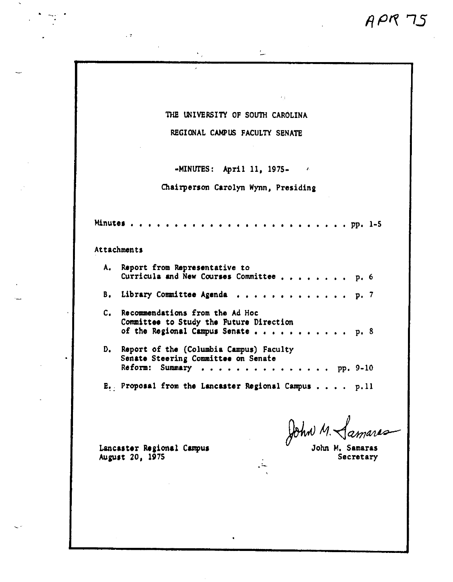$APR$  75

| THE UNIVERSITY OF SOUTH CAROLINA |  |  |  |  |  |
|----------------------------------|--|--|--|--|--|
|----------------------------------|--|--|--|--|--|

 $\overline{\phantom{a}}$ 

 $\epsilon_{\rm A}$ 

 $\mathcal{F}_{\mathcal{A}}$ 

REGIONAL CAMPUS FACULTY SENATE

 $-MINUTES:$  April 11, 1975-  $\qquad$ 

Chairperson Carolyn Wynn, Presidina

**Minutes** • • • • • • • • • • • • • • , , , , , • , , • , • pp. 1-5

Attachments

 $\sim$   $2\%$ 

.. ·-..

| A. Report from Representative to<br>Curricula and New Courses Committee p. 6                                        |
|---------------------------------------------------------------------------------------------------------------------|
| B. Library Committee Agenda p. 7                                                                                    |
| C. Recommendations from the Ad Hoc<br>Committee to Study the Future Direction<br>of the Regional Campus Senate p. 8 |
| D. Report of the (Columbia Campus) Faculty<br>Senate Steering Committee on Senate<br>Reform: Summary pp. 9-10       |
|                                                                                                                     |

E. Proposal from the Lancaster Regional Campus . . . . p.11

 $\therefore$ 

John M. Samaras

John M. Samaras<br>Secretary

Lancaster Regional Campus<br>August 20, 1975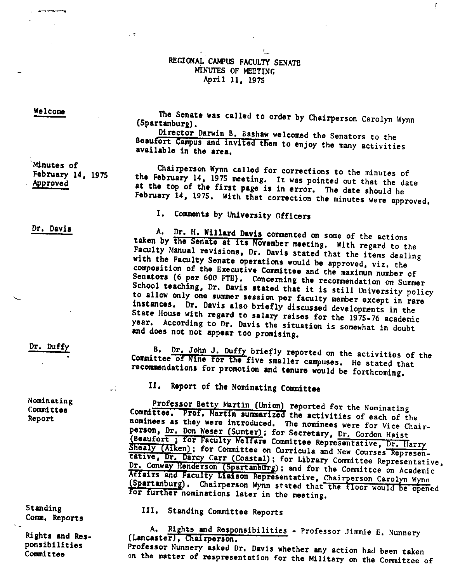## REGIONAL CAMPUS FACULTY SENATE MINUTES OF MEETING April 11, 1975

Welcome

<u>Contractive Common</u>

 $\sim$  2

The Senate was called to order by Chairperson Carolyn Wynn (Spartanburg), Director Darwin 8, Bashaw welcomed the Senators to the Beaufort Campus and invited them to enjoy the many activities available in the **area,** 

'Minutes of February 14, 1975 Approved

Chairperson Wynn called for corrections to the minutes of<br>the February 14, 1975 meeting. It was pointed out that the date<br>at the top of the first page is in error. The date should be<br>February 14, 1975. With that correction

A. Dr. H. Willard Davis commented on some of the actions taken by the Senate at its November meeting. With regard to the

I, Comments by University Officers

Dr, Davis

Dr, Duffy

Nominating Committee Report

 $\mathcal{L}^{(1)}$ 

Committee<sup>-</sup> B. Dr. John J. Duffy briefly reported on the activities of the<br>Committee of Nine for the five smaller campuses. He stated that<br>recommendations for promotion and tenure would be forthcoming.

Faculty Manual revisions, Dr. Davis stated that the items dealing<br>with the Faculty Senate operations would be approved, viz. the<br>composition of the Executive Committee and the maximum number of<br>Senators (6 per 600 FTE). Co

II, Report of the Nominating Committee

Professor Betty Martin (Union) reported for the Nominating Committee. Prof, Martin summarized the activities of each of the nominees as they were introduced. The nominees were for Vice Chair-<br>person, <u>Dr. Don Weser (Sumter</u> (Beaufort; for Faculty Welfare Committee Representative, Dr. Harry<br>Shealy (Alken); for Committee on Curricula and New Courses Represen-<br>tative, Dr. Darcy Carr (Coastal); for Library Committee Representative,<br>Dr. Conway Hen Affairs Dr. Conway Henderson (Spartanburg); and for the Committee Representative<br>Affairs and Faculty Liaison Representative, Chairperson Carolyn Wynn<br>(Spartanburg). Chairperson Wynn stated that the floor would be opened<br>for furthe

Standing Comm, Reports

Ri ehts and **Res**ponsibilities Committee

III, Standing Committee Reports

A. Rights and Responsibilities - Professor Jimmie E. Nunnery (Lancaster), Chairperson. Professor Nunnery asked Dr, Davis whether any action had been taken on the matter of respresentation for the Military on the Committee of

l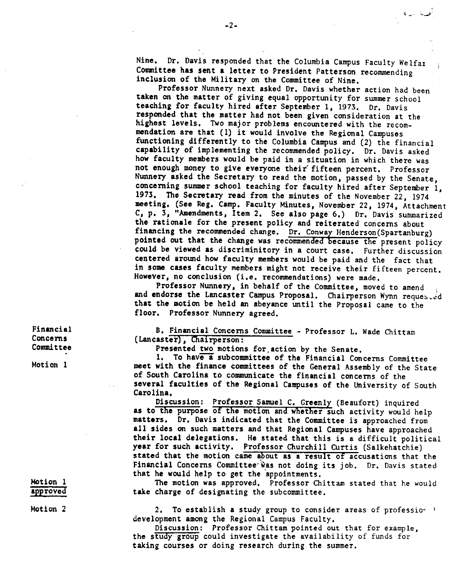Nine, Dr, Davis responded that the Columbia Campus Faculty Welfat Committee has sent a letter to President Patterson recommending inclusion of the Military on the Committee of Nine,

Professor Nunnery next asked Dr, Davis whether action had been **taken** on the matter of giving equal opportunity for summer school teaching for faculty hired after September 1, 1973, Dr, Davis responded that the matter had not been given consideration at the highest levels, Two major problems encountered with the recommendation are that (1) it would involve the Regional Campuses functioning differently to the Columbia Campus and (2) the financial capability of implementing the recommended policy, Dr, Davis asked how faculty members would be paid in a situation in which there was not enough money to give everyone their' fifteen percent, Professor Nunnery asked the Secretary to read the motion, passed by the Senate, concerning summer school teaching for faculty hired after September 1, 1973, The Secretary read from the minutes of the November 22, 1974 meeting, (See Reg, Camp, Faculty Minutes, November 22, 1974, Attachment C, p, 3, "Amendments, Item 2, See also page 6,) Dr, Davis summarized the rationale for the present policy and reiterated concerns about financing the recommended change. Dr. Conway Henderson(Spartanburg) pointed out that the change was recommended because the present policy could be viewed as discriminitory in a court case, Further discussion centered around how faculty members would be paid and the fact that in some cases faculty members might not receive their fifteen percent,

However, no conclusion (i.e. recommendations) were made.<br>Professor Nunnery, in behalf of the Committee, moved to amend and endorse the Lancaster Campus Proposal. Chairperson Wynn requested that the motion be held an abeyance until the Proposal came to the floor, Professor Nunnery agreed,

B, Financial Concerns Committee - Professor L. Wade Chittam (Lancaster), Chairperson:

**Presented** two motions for,action by the Senate.

1. To have a subcommittee of the Financial Concerns Committee meet with the finance committees of the General Assembly of the State of South Carolina to communicate the financial concerns of the several faculties of the Regional Campuses of the University of South Carolina,

Discussion: Professor Samuel C, Greenly (Beaufort) inquired as to the purpose of the motion and whether such activity would help matters, Dr, Davis indicated that the Committee is approached from all sides on such matters and that Regional Campuses have approached their local delegations, He stated that this is a difficult political **year** for such activity, Professor .Churchill Curtis (Salkehatchie) stated that the motion came about **as a** result of accusations that the Financial Concerns Committee was not doing its job. Dr. Davis stated that he would help to get the 'appointments,

The motion was approved, Professor Chittam stated that he would **take** charge of designating the subcommittee,

2, To establish **a** study group to consider areas of professior 1 development among the Regional Campus Faculty,

Discussion: Professor Chittam pointed out that for example, the study group could investigate the availability of funds for taking courses or doing research during the summer.

Financial Concerns Committee

Motion 1

Motion 1 approved

Motion 2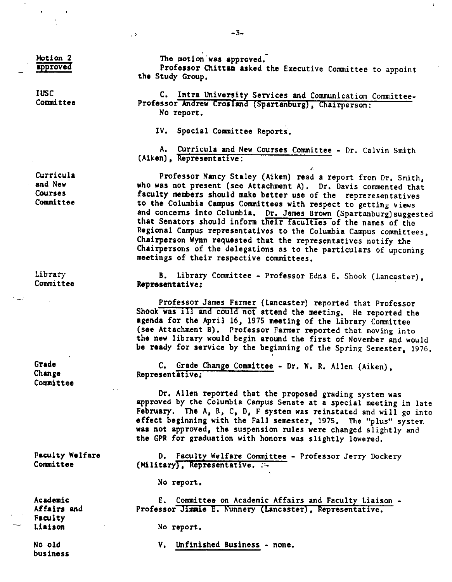Motion 2 approved  $\ddot{\phantom{0}}$ 

IUSC Committee

Curricula and New Courses Committee

Library Committee

Grade Chanee Committee

Faculty Welfare Committee

**Academic**  Affairs and Faculty **Liaison** 

No old business The motion was approved,

Professor Chittam **asked** the Executive Committee to appoint the Study Group,

¥

C. Intra University Services and Communication Committee-Professor Andrew Crosland (Spartanburg), Chairperson: No report.

IV, Special Committee Reports,

A. Curricula and New Courses Committee - Dr, Calvin Smith (Aiken), Representative:

Professor Nancy Staley (Aiken) read a report from Dr. Smith, who was not present (see Attachment A). Dr. Davis commented that faculty members should make better use of the repreresentatives to **the** Columbia Campus Committees with respect to getting views and concerns into Columbia. Dr. James Brown (Spartanburg) suggested that Senators should inform their faculties of the names of the Regional Campus representatives to the Columbia Campus committees, Chairperson Wynn requested that the representatives notify the Chairpersons of the delegations as to the particulars of upcoming meetings of their respective committees,

B. Library Committee - Professor Edna E, Shook (Lancaster), **Representative:** 

Professor James Farmer (Lancaster) reported that Professor Shook was ill and could not attend the meeting. He reported the **agenda** for the April 16, 1975 meeting of the Library Committee (see Attachment B), Professor Farmer reported that moving into the new library would begin around the first of November and would be ready for service by the beginning of the Spring Semester, 1976,

C, Grade Change Committee - Dr, W, R. Allen (Aiken), Representative:

Dr. Allen reported that the proposed grading system was approved by the Columbia Campus Senate at a special meeting in late February. The A, B, C, D, F system was reinstated and will go into **effect** beginning with the Fall semester, 1975, The "plus" system **was** not approved, the suspension rules were changed slightly and the GPR for graduation with honors was slightly lowered,

D. Faculty Welfare Committee - Professor Jerry Dockery (Military), Representative,  $\mathbb{R}^2$ 

No report.

E. Committee on Academic Affairs and Faculty Liaison - Professor Jimmie E. Nunnery (Lancaster), Representative.

No report,

V, Unfinished Business - none,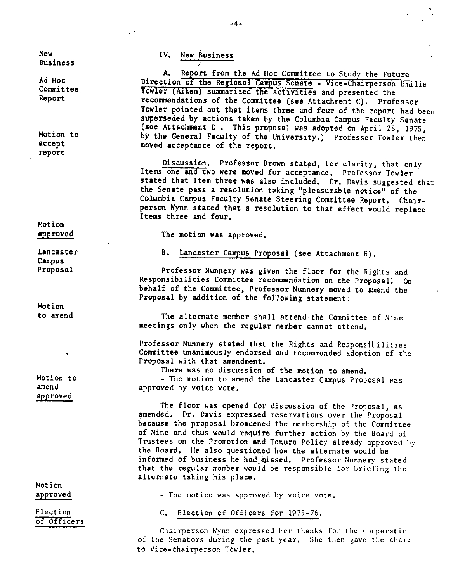New Business

Ad Hoc Committee Report

Motion to accept report

Motion approved

Lancaster Campus Proposal

Motion to amend

Motion to amend approved

Motion approved

Election of Officers IV, New Business

- 2

A. Report from the Ad Hoc Committee to Study the Future Direction of the Regional Campus Senate - Vice-Chairperson Emilie Towler (Aiken) summarized the activities and presented the recommendations of the Committee **(see** Attachment C), Professor Towler pointed out that items three and four of the report had been superseded by actions taken by the Columbia Campus Faculty Senate (see Attachment D, This proposal was adopted on April 28, 1975, by the General Faculty of the University,) Professor Towler then moved acceptance of the report.

Discussion. Professor Brown stated, for clarity, that only Items one and two were moved for acceptance, Professor Towler stated that Item three was also included. Dr. Davis suggested that the Senate pass a resolution taking "pleasurable notice" of the Columbia Campus Faculty Senate Steering Committee Report, Chairperson Wynn stated that a resolution to that effect would replace **Items** three and four,

The motion was approved.

B, Lancaster Campus Proposal (see Attachment E).

Professor Nunnery was given the floor for the Rights and Responsibilities Committee recommendation on the Proposal; On behalf of the Committee, Professor Nunnery moved to amend the Proposal by addition of the following statement:

The alternate member shall attend the Committee of Nine meetings only when the regular member cannot attend,

Professor Nunnery stated that the Rights and Responsibilities Committee unanimously endorsed and recommended adortion of the Proposal with that amendment,

There was no discussion of the motion to amend,

- The motion to amend the Lancaster Campus Proposal was approved by voice vote,

The floor was opened for discussion of the Proposal, as amended, Dr. Davis expressed reservations over the Proposal because the proposal broadened the membership of the Committee of Nine and thus would require further.action by the Board of Trustees on the Promotion and Tenure Policy already approved by the Board, He also questioned how the alternate would be informed of business he had-missed, Professor Nunnery stated that the regular member would be responsible for briefing the alternate taking his place.

• The motion was approved by voice vote.

C. Election of Officers for 1975-76,

Chairperson Wynn expressed her thanks for the cooperation of the Senators during the past year, She then gave the chair to Vice-chairperson Towler.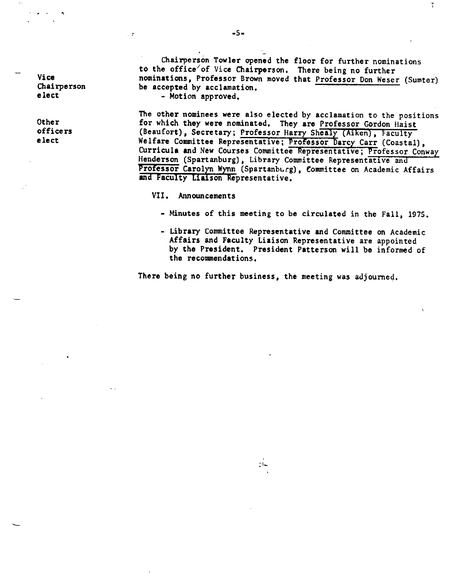Vice Chairperson **eh~** 

'

Other officers elect

Chairperson Towler opened the floor for further nominations to the office/of Vice Chairperson, There being no further nominations, Professor Brown moved that Professor Don Weser (Sumter) be accepted by acclamation.<br>- Motion approved,

7

The other nominees were also elected by acclamation to the positions for which they were nominated, They **are** Professor Gordon Haist (Beaufort), Secretary; Professor Harry Shealy (Aiken), Faculty Welfare Committee Representative; Professor Darcy Carr (Coastal), Curricula and New Courses Committee Representative; Professor Conway Henderson (Spartanburg), Library Committee Representative and Professor Carolyn Wynn (Spartanburg), Committee on Academic Affairs and Faculty Liaison Representative.

VII. Announcements

- Minutes of this meeting to be circulated in the Fall, 1975,
- Library Committee Representative and Committee on Academic Affairs and Faculty Liaison Representative are appointed by the President, President Patterson will be informed of the recommendations.

There being no further business, the meeting was adjourned,

 $\mathbb{C}^2$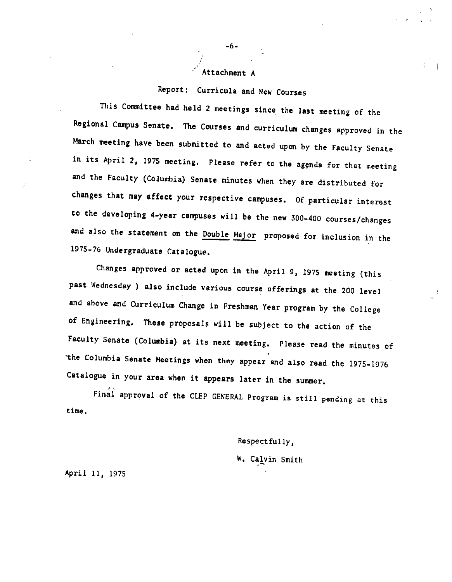#### Attachment A

# Report: Curricula and New Courses

This Committee had held 2 meetings since the last meeting of the Regional Campus Senate, The Courses and curriculum changes approved in the March meeting have been submitted to and acted upon by the Faculty Senate in its April 2, 1975 meeting. Please refer to the agenda for that meeting and the Faculty (Columbia) Senate minutes when they are distributed for changes that may affect your respective campuses, Of particular interest to the developing 4-year campuses will be the new 300-400 courses/changes and also the statement on the Double Major proposed for inclusion in the 1975-76 Undergraduate Catalogue,

Changes approved or acted upon in the April 9, 1975 meeting (this past Wednesday ) also include various course offerings at the 200 level and above and Curriculum Change in Freshman Year program *by* the College of Engineering, **These** proposals will be subject to the action of the Faculty Senate (Columbia) at its next meeting, Please read the minutes of "the Columbia Senate Meetings when they appear and also read the 1975-1976 Catalogue in your **area** when it appears later in the summer,

Final approval of the CLEP GENERAL Program is still pending at this time,

Respectfully,

W, Catvin Smith

April 11, 1975

-6-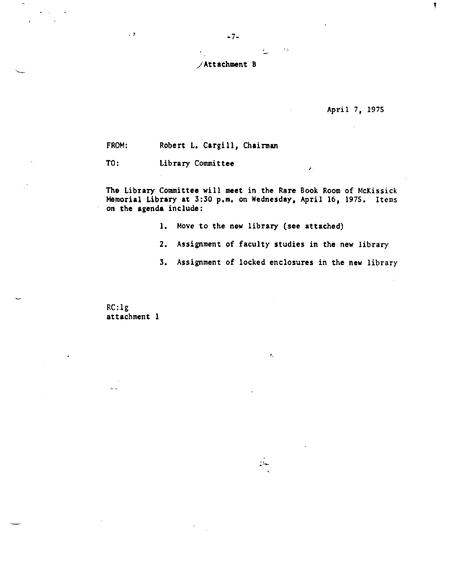-7-

### /Attachment B

### April 7, 1975

FROM: Robert L, Cargill, Chairman

TO: Library Committee

The Library Committee will **meet** in the Rare Book Room of McKissick Memorial Library at 3:30 p.m. on Wednesday, April 16, 1975. Items on the **agenda** include:

- 1, Move to the new library (see attached)
- 2, Assignment of faculty studies in the new library

 $\bullet$  .

 $\mathbb{R}$ 

3, Assignment of locked enclosures in the new library

 $\langle \cdot \rangle$ 

生

RC:lg attachment 1

 $\hat{\mathcal{M}}$  .

. ,

 $\overline{a}$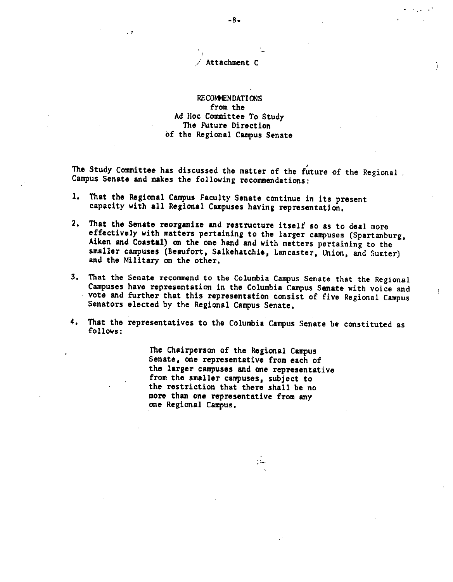### Attachment C

., .,

# RECOMMENDATIONS from the Ad Hoc Committee To Study The Future Direction of the Regional Campus Senate

, The Study Committee has discussed the matter of the future of the Regional Campus **Senate** and **makes** the following recommendations:

- 1, That the Regional Campus Faculty Senate continue in its present capacity with all Regional Campuses having representation,
- 2. That the Senate reorganize and restructure itself so as to deal more<br>effectively with matters pertaining to the larger campuses (Spartanburg,<br>Aiken and Coastal) on the one hand and with matters pertaining to the<br>smaller
- 3, That the Senate recommend to the Columbia Campus Senate that the Regional Campuses have representation in the Columbia Campus **Senate** with voice and vote and further that this representation consist of five Regional Campus Senators elected by the Regional Campus Senate,
- 4, That the representatives to the Columbia Campus Senate be constituted as follows:

The Chairperson of the Regional Campus<br>Senate, one representative from each of the larger campuses and one representative from the smaller campuses, subject to the restriction that there shall be no more than one representative from any **one** Regional Campus,

--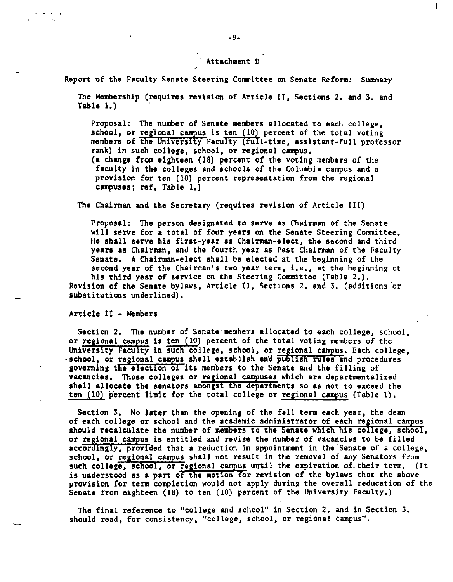# $\frac{1}{2}$  Attachment D

Report of the Faculty Senate Steering Committee on Senate Reform: Summary

The Membership (requires revision of Article II, Sections 2, and 3, and **Table** 1,)

Proposal: The number of Senate members allocated to each college, school, or regional campus is ten  $(10)$  percent of the total voting members of the University Faculty (full-time, assistant-full professor rank) in such college, school, or regional campus, **(a** change from eighteen (18) percent of the voting members of the faculty in the colleges and schools of the Columbia campus and a provision for ten (10) percent representation from the regional **campuses; ref, Table** 1,)

The Chairman and the Secretary (requires revision of Article III)

Proposal: The person designated to **serve as** Chainnan of the Senate will **serve** for a total of four **years** on the Senate Steering Committee, He shall serve his first-year as Chairman-elect, the second and third years as Chairman, and the fourth year as Past Chairman of the Faculty Senate, A Chairman-elect shall be elected at the beginning of the second **year** of the Chairman's two year term, i.e., at the beginning ot his third year of service on the Steering Committee (Table 2.),

Revision of the **Senate** bylaws, Article II, Sections 2, and 3, (additions or substitutions underlined),

Article II - Members

 $\sqrt{2}$ 

Section 2, The number of Senate·members allocated to each college, school, or regional campus is ten (10) percent of the total voting members of the University Faculty in such college, school, or regional campus, Each college, ·school, or regional campus shall establish and publish rules and procedures aoverning the election of its members to the Senate and the filling of vacancies. Those colleges or regional campuses which are departmentalized shall allocate the senators amongst the departments so as not to exceed the ten  $(10)$  percent limit for the total college or regional campus (Table 1).

Section 3, No **later** than the opening of the fall term each year, the dean of each college or school and the academic administrator of each regional campus should recalculate the number of members to the Senate which his college, school, or regional campus is entitled and revise the number of vacancies to be filled accordingly, provided that a reduction in appointment in the Senate of a college, school, or regional campus shall not result in the removal of any Senators from such college, school, or regional campus until the expiration of their term. (It is understood as a part of the motion for revision of the bylaws that the above provision for tenn completion would not apply during the overall reducation of the Senate from eighteen (18) to ten (10) percent of the University Faculty,)

The final reference to "college and school" in Section 2. and in Section 3, should read, for consistency, "college, school, or regional campus",

l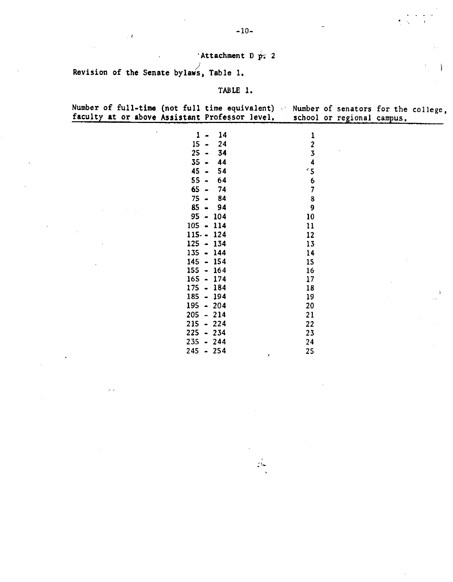# $\cdot$ Attachment D  $p$ ; 2

Revision of the Senate bylaws, Table 1.

 $\sim$   $^{\rm 3}$ 

## TABLE 1,

Number of full-time (not full time equivalent) faculty **at** or **above Assistant** Professor level, Number of senators for the college, school or regional campus.

| 1                               | 14  | 1  |
|---------------------------------|-----|----|
| 15                              | 24  | 2  |
| 25                              | 34  | 3  |
| 35<br>ł,                        | 44  | 4  |
| 45                              | 54  | 15 |
| 55                              | 64  | 6  |
| 65                              | 74  | 7  |
| 75                              | 84  | 8  |
| 85                              | 94  | 9  |
| 95<br>$\ddot{\phantom{1}}$      | 104 | 10 |
| 105<br>$\overline{\phantom{a}}$ | 114 | 11 |
| $115 - -$                       | 124 | 12 |
| $125 -$                         | 134 | 13 |
| 135                             | 144 | 14 |
| 145                             | 154 | 15 |
| 155<br>$\blacksquare$           | 164 | 16 |
| 165                             | 174 | 17 |
| 175                             | 184 | 18 |
| 185<br>$\blacksquare$           | 194 | 19 |
| 195<br>$\bullet$                | 204 | 20 |
| 205<br>$\ddot{\phantom{1}}$     | 214 | 21 |
| 215<br>$\blacksquare$           | 224 | 22 |
| 225<br>$\bullet$                | 234 | 23 |
| 235                             | 244 | 24 |
| 245                             | 254 | 25 |

.-

-10-